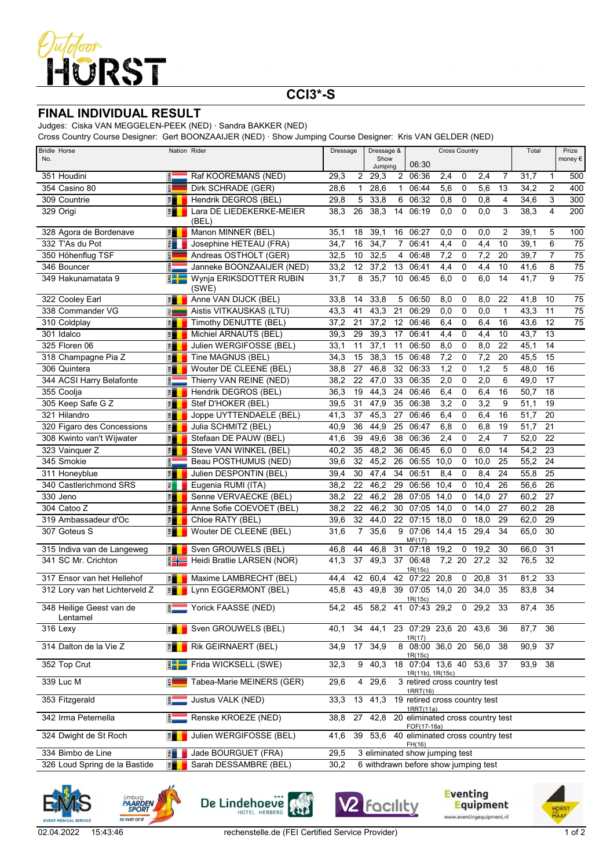

## **CCI3\*-S**

## **FINAL INDIVIDUAL RESULT**

Judges: Ciska VAN MEGGELEN-PEEK (NED) · Sandra BAKKER (NED)

Cross Country Course Designer: Gert BOONZAAIJER (NED) · Show Jumping Course Designer: Kris VAN GELDER (NED)

| <b>Bridle Horse</b>                  | Nation Rider                |                                   | Dressage &<br>Dressage |                | <b>Cross Country</b> |                |                                                      |              |             | Total             |              | Prize        |                |                  |
|--------------------------------------|-----------------------------|-----------------------------------|------------------------|----------------|----------------------|----------------|------------------------------------------------------|--------------|-------------|-------------------|--------------|--------------|----------------|------------------|
| No.                                  |                             |                                   |                        |                | Show<br>Jumping      |                | 06:30                                                |              |             |                   |              |              |                | money €          |
| 351 Houdini                          | $rac{z}{\overline{c}}$      | Raf KOOREMANS (NED)               | 29,3                   | 2              | 29,3                 |                | 2 06:36                                              | 2,4          | 0           | 2,4               | 7            | 31,7         | $\mathbf{1}$   | 500              |
| 354 Casino 80                        | <b>GER</b>                  | Dirk SCHRADE (GER)                | 28,6                   | $\mathbf 1$    | 28,6                 | $\mathbf{1}$   | 06:44                                                | 5,6          | 0           | 5,6               | 13           | 34,2         | $\overline{2}$ | 400              |
| 309 Countrie                         | 門                           | Hendrik DEGROS (BEL)              | 29,8                   | 5              | 33,8                 | 6              | 06:32                                                | 0,8          | 0           | 0,8               | 4            | 34,6         | 3              | $\overline{300}$ |
| 329 Origi                            | 門                           | Lara DE LIEDEKERKE-MEIER<br>(BEL) | 38,3                   | 26             | 38,3                 | 14             | 06:19                                                | 0,0          | $\mathbf 0$ | 0,0               | 3            | 38,3         | 4              | 200              |
| 328 Agora de Bordenave               | 門                           | Manon MINNER (BEL)                | 35,1                   | 18             | 39,1                 | 16             | 06:27                                                | 0,0          | 0           | 0,0               | 2            | 39,1         | 5              | 100              |
| 332 T'As du Pot                      | $\frac{1}{2}$               | Josephine HETEAU (FRA)            | 34,7                   | 16             | 34,7                 | $\overline{7}$ | 06:41                                                | 4,4          | $\mathbf 0$ | 4,4               | 10           | 39,1         | 6              | 75               |
| 350 Höhenflug TSF                    | <b>GER</b>                  | Andreas OSTHOLT (GER)             | 32,5                   | 10             | 32,5                 | 4              | 06:48                                                | 7,2          | 0           | 7,2               | 20           | 39,7         | $\overline{7}$ | 75               |
| 346 Bouncer                          | $rac{1}{10}$                | Janneke BOONZAAIJER (NED)         | 33,2                   | 12             | 37,2                 | 13             | 06:41                                                | 4,4          | 0           | 4,4               | 10           | 41,6         | 8              | $\overline{75}$  |
| 349 Hakunamatata 9                   | $\frac{2}{3}$               | Wynja ERIKSDOTTER RUBIN<br>(SWE)  | 31,7                   | 8              | 35,7                 |                | 10 06:45                                             | 6,0          | $\mathbf 0$ | 6,0               | 14           | 41,7         | 9              | $\overline{75}$  |
| 322 Cooley Earl                      | 置                           | Anne VAN DIJCK (BEL)              | 33,8                   | 14             | 33,8                 | 5              | 06:50                                                | 8,0          | 0           | 8,0               | 22           | 41,8         | 10             | $\overline{75}$  |
| 338 Commander VG                     | $\epsilon$ and              | Aistis VITKAUSKAS (LTU)           | 43,3                   | 41             | 43,3                 | 21             | 06:29                                                | 0,0          | 0           | 0,0               | $\mathbf{1}$ | 43,3         | 11             | 75               |
| 310 Coldplay                         | 門                           | Timothy DENUTTE (BEL)             | 37,2                   | 21             | 37,2                 | 12             | 06:46                                                | 6,4          | 0           | 6,4               | 16           | 43,6         | 12             | $\overline{75}$  |
| 301 Idalco                           | F                           | Michiel ARNAUTS (BEL)             | 39,3                   | 29             | 39,3                 | 17             | 06:41                                                | 4,4          | 0           | 4,4               | 10           | 43,7         | 13             |                  |
| 325 Floren 06                        | 潭                           | Julien WERGIFOSSE (BEL)           | 33,1                   | 11             | 37,1                 | 11             | 06:50                                                | 8,0          | $\mathbf 0$ | 8,0               | 22           | 45,1         | 14             |                  |
| 318 Champagne Pia Z                  | F                           | Tine MAGNUS (BEL)                 | 34,3                   | 15             | 38,3                 | 15             | 06:48                                                | 7,2          | 0           | 7,2               | 20           | 45,5         | 15             |                  |
| 306 Quintera                         | F                           | Wouter DE CLEENE (BEL)            | 38,8                   | 27             | 46,8                 | 32             | 06:33                                                | 1,2          | 0           | 1,2               | 5            | 48,0         | 16             |                  |
| 344 ACSI Harry Belafonte             | <b>RED</b>                  | Thierry VAN REINE (NED)           | 38,2                   | 22             | 47,0                 | 33             | 06:35                                                | 2,0          | $\mathbf 0$ | 2,0               | 6            | 49,0         | 17             |                  |
| 355 Coolja                           | 置量                          | Hendrik DEGROS (BEL)              | 36,3                   | 19             | 44,3                 | 24             | 06:46                                                | 6,4          | $\mathbf 0$ | 6,4               | 16           | 50,7         | 18             |                  |
| 305 Keep Safe G Z                    | 門                           | Stef D'HOKER (BEL)                | 39,5                   | 31             | 47,9                 | 35             | 06:38                                                | 3,2          | 0           | 3,2               | 9            | 51,1         | 19             |                  |
| 321 Hilandro                         | 置量                          | Joppe UYTTENDAELE (BEL)           | 41,3                   | 37             | 45,3                 | 27             | 06:46                                                | 6,4          | 0           | 6,4               | 16           | 51,7         | 20             |                  |
| 320 Figaro des Concessions           | F                           | Julia SCHMITZ (BEL)               | 40,9                   | 36             | 44,9                 | 25             | 06:47                                                | 6,8          | 0           | 6,8               | 19           | 51,7         | 21             |                  |
| 308 Kwinto van't Wijwater            | 置量                          | Stefaan DE PAUW (BEL)             | 41,6                   | 39             | 49,6                 | 38             | 06:36                                                | 2,4          | 0           | 2,4               | 7            | 52,0         | 22             |                  |
| 323 Vainquer Z                       | F                           | Steve VAN WINKEL (BEL)            | 40,2                   | 35             | 48,2                 | 36             | 06:45                                                | 6,0          | $\mathbf 0$ | 6,0               | 14           | 54,2         | 23             |                  |
| 345 Smokie                           | <b>RED</b>                  | Beau POSTHUMUS (NED)              | 39,6                   | 32             | 45,2                 | 26             | 06:55                                                | 10,0         | $\mathbf 0$ | 10,0              | 25           | 55,2         | 24             |                  |
| 311 Honeyblue                        | E                           | Julien DESPONTIN (BEL)            | 39,4                   | 30             | 47,4                 | 34             | 06:51                                                | 8,4          | 0           | 8,4               | 24           | 55,8         | 25             |                  |
| 340 Castlerichmond SRS               | 量                           | Eugenia RUMI (ITA)                | 38,2                   | 22             | 46,2                 | 29             | 06:56                                                | 10,4         | 0           | 10,4              | 26           | 56,6         | 26             |                  |
| 330 Jeno                             | E                           | Senne VERVAECKE (BEL)             | 38,2                   | 22             | 46,2                 | 28             | 07:05                                                | 14,0         | 0           | 14,0              | 27           | 60,2         | 27             |                  |
| 304 Catoo Z<br>319 Ambassadeur d'Oc  | 置量                          | Anne Sofie COEVOET (BEL)          | 38,2<br>39,6           | 22<br>32       | 46,2                 | 30<br>22       | 07:05<br>07:15                                       | 14,0<br>18,0 | 0           | 14,0<br>18,0      | 27<br>29     | 60,2<br>62,0 | 28<br>29       |                  |
|                                      | 置                           | Chloe RATY (BEL)                  |                        | $\overline{7}$ | 44,0                 |                | 9 07:06                                              | 14,4         | 0           | 29,4              |              |              | 30             |                  |
| 307 Goteus S                         | 門                           | Wouter DE CLEENE (BEL)            | 31,6                   |                | 35,6                 |                | MF(17)                                               |              | 15          |                   | 34           | 65,0         |                |                  |
| 315 Indiva van de Langeweg           | 門                           | Sven GROUWELS (BEL)               | 46,8                   | 44             | 46,8                 | 31             | 07:18                                                | 19,2         | 0           | 19,2              | 30           | 66,0         | 31             |                  |
| 341 SC Mr. Crichton                  | $rac{1}{2}$                 | Heidi Bratlie LARSEN (NOR)        | 41,3                   | 37             | 49,3                 | 37             | 06:48<br>1R(15c)                                     | 7,2 20       |             | $\overline{27,2}$ | 32           | 76,5         | 32             |                  |
| 317 Ensor van het Hellehof           | 門                           | Maxime LAMBRECHT (BEL)            | 44,4                   | 42             | 60,4                 | 42             | 07:22                                                | 20,8         | 0           | 20,8              | 31           | 81,2         | 33             |                  |
| 312 Lory van het Lichterveld Z       | 門                           | Lynn EGGERMONT (BEL)              | 45,8                   | 43             | 49,8                 |                | 39 07:05 14,0 20<br>1R(15c)                          |              |             | 34,0              | 35           | 83,8         | 34             |                  |
| 348 Heilige Geest van de<br>Lentamel | <b>RED</b>                  | Yorick FAASSE (NED)               | 54,2                   | 45             | 58,2                 |                | 41 07:43 29,2                                        |              |             | $0\quad 29,2$     | 33           | 87,4         | 35             |                  |
| 316 Lexy                             |                             | Sven GROUWELS (BEL)               | 40,1                   | 34             | 44,1                 |                | 23 07:29 23.6 20 43.6<br>1R(17)                      |              |             |                   | 36           | 87,7 36      |                |                  |
| 314 Dalton de la Vie Z               | 門                           | Rik GEIRNAERT (BEL)               | 34,9                   | 17             | 34,9                 |                | 8 08:00 36,0 20 56,0<br>1R(15c)                      |              |             |                   | 38           | 90,9 37      |                |                  |
| 352 Top Crut                         | $\frac{2}{3}$ $\frac{1}{2}$ | Frida WICKSELL (SWE)              | 32,3                   |                |                      |                | 9 40,3 18 07:04 13,6 40 53,6 37<br>1R(11b), 1R(15c)  |              |             |                   |              | 93,9 38      |                |                  |
| 339 Luc M                            | $\frac{2}{3}$               | Tabea-Marie MEINERS (GER)         | 29,6                   | 4              | 29,6                 |                | 3 retired cross country test<br>1RRT(16)             |              |             |                   |              |              |                |                  |
| 353 Fitzgerald                       | $\overline{6}$              | Justus VALK (NED)                 | 33,3                   |                |                      |                | 13 41,3 19 retired cross country test<br>1RRT(11a)   |              |             |                   |              |              |                |                  |
| 342 Irma Peternella                  |                             | Renske KROEZE (NED)               | 38,8                   | 27             |                      |                | 42,8 20 eliminated cross country test<br>FOF(17-18a) |              |             |                   |              |              |                |                  |
| 324 Dwight de St Roch                | 置                           | Julien WERGIFOSSE (BEL)           | 41,6                   |                |                      |                | 39 53,6 40 eliminated cross country test<br>FH(16)   |              |             |                   |              |              |                |                  |
| 334 Bimbo de Line                    | 引                           | Jade BOURGUET (FRA)               | 29,5                   |                |                      |                | 3 eliminated show jumping test                       |              |             |                   |              |              |                |                  |
| 326 Loud Spring de la Bastide        | 門                           | Sarah DESSAMBRE (BEL)             | 30,2                   |                |                      |                | 6 withdrawn before show jumping test                 |              |             |                   |              |              |                |                  |